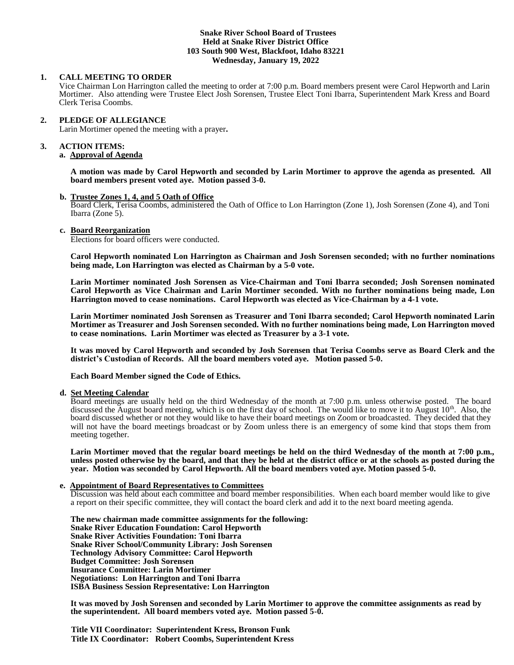## **Snake River School Board of Trustees Held at Snake River District Office 103 South 900 West, Blackfoot, Idaho 83221 Wednesday, January 19, 2022**

#### **1. CALL MEETING TO ORDER**

Vice Chairman Lon Harrington called the meeting to order at 7:00 p.m. Board members present were Carol Hepworth and Larin Mortimer. Also attending were Trustee Elect Josh Sorensen, Trustee Elect Toni Ibarra, Superintendent Mark Kress and Board Clerk Terisa Coombs.

## **2. PLEDGE OF ALLEGIANCE**

Larin Mortimer opened the meeting with a prayer**.** 

#### **3. ACTION ITEMS:**

#### **a. Approval of Agenda**

**A motion was made by Carol Hepworth and seconded by Larin Mortimer to approve the agenda as presented. All board members present voted aye. Motion passed 3-0.**

#### **b. Trustee Zones 1, 4, and 5 Oath of Office**

Board Clerk, Terisa Coombs, administered the Oath of Office to Lon Harrington (Zone 1), Josh Sorensen (Zone 4), and Toni Ibarra (Zone 5).

#### **c. Board Reorganization**

Elections for board officers were conducted.

**Carol Hepworth nominated Lon Harrington as Chairman and Josh Sorensen seconded; with no further nominations being made, Lon Harrington was elected as Chairman by a 5-0 vote.**

**Larin Mortimer nominated Josh Sorensen as Vice-Chairman and Toni Ibarra seconded; Josh Sorensen nominated Carol Hepworth as Vice Chairman and Larin Mortimer seconded. With no further nominations being made, Lon Harrington moved to cease nominations. Carol Hepworth was elected as Vice-Chairman by a 4-1 vote.**

**Larin Mortimer nominated Josh Sorensen as Treasurer and Toni Ibarra seconded; Carol Hepworth nominated Larin Mortimer as Treasurer and Josh Sorensen seconded. With no further nominations being made, Lon Harrington moved to cease nominations. Larin Mortimer was elected as Treasurer by a 3-1 vote.**

**It was moved by Carol Hepworth and seconded by Josh Sorensen that Terisa Coombs serve as Board Clerk and the district's Custodian of Records. All the board members voted aye. Motion passed 5-0.**

**Each Board Member signed the Code of Ethics.**

#### **d. Set Meeting Calendar**

Board meetings are usually held on the third Wednesday of the month at 7:00 p.m. unless otherwise posted. The board discussed the August board meeting, which is on the first day of school. The would like to move it to August  $10<sup>th</sup>$ . Also, the board discussed whether or not they would like to have their board meetings on Zoom or broadcasted. They decided that they will not have the board meetings broadcast or by Zoom unless there is an emergency of some kind that stops them from meeting together.

**Larin Mortimer moved that the regular board meetings be held on the third Wednesday of the month at 7:00 p.m., unless posted otherwise by the board, and that they be held at the district office or at the schools as posted during the year. Motion was seconded by Carol Hepworth. All the board members voted aye. Motion passed 5-0.**

### **e. Appointment of Board Representatives to Committees**

Discussion was held about each committee and board member responsibilities. When each board member would like to give a report on their specific committee, they will contact the board clerk and add it to the next board meeting agenda.

**The new chairman made committee assignments for the following: Snake River Education Foundation: Carol Hepworth Snake River Activities Foundation: Toni Ibarra Snake River School/Community Library: Josh Sorensen Technology Advisory Committee: Carol Hepworth Budget Committee: Josh Sorensen Insurance Committee: Larin Mortimer Negotiations: Lon Harrington and Toni Ibarra ISBA Business Session Representative: Lon Harrington**

**It was moved by Josh Sorensen and seconded by Larin Mortimer to approve the committee assignments as read by the superintendent. All board members voted aye. Motion passed 5-0.**

 **Title VII Coordinator: Superintendent Kress, Bronson Funk Title IX Coordinator: Robert Coombs, Superintendent Kress**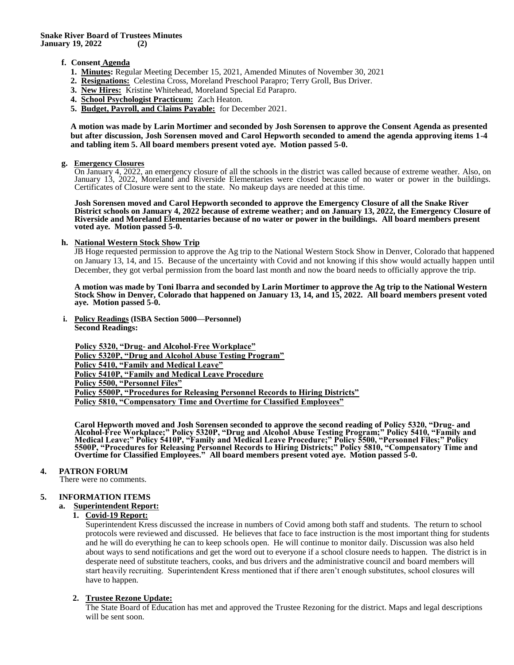# **f. Consent Agenda**

- **1. Minutes:** Regular Meeting December 15, 2021, Amended Minutes of November 30, 2021
- **2. Resignations:** Celestina Cross, Moreland Preschool Parapro; Terry Groll, Bus Driver.
- **3. New Hires:** Kristine Whitehead, Moreland Special Ed Parapro.
- **4. School Psychologist Practicum:** Zach Heaton.
- **5. Budget, Payroll, and Claims Payable:** for December 2021.

**A motion was made by Larin Mortimer and seconded by Josh Sorensen to approve the Consent Agenda as presented but after discussion, Josh Sorensen moved and Carol Hepworth seconded to amend the agenda approving items 1-4 and tabling item 5. All board members present voted aye. Motion passed 5-0.**

## **g. Emergency Closures**

On January 4, 2022, an emergency closure of all the schools in the district was called because of extreme weather. Also, on January 13, 2022, Moreland and Riverside Elementaries were closed because of no water or power in the buildings. Certificates of Closure were sent to the state. No makeup days are needed at this time.

**Josh Sorensen moved and Carol Hepworth seconded to approve the Emergency Closure of all the Snake River District schools on January 4, 2022 because of extreme weather; and on January 13, 2022, the Emergency Closure of Riverside and Moreland Elementaries because of no water or power in the buildings. All board members present voted aye. Motion passed 5-0.**

## **h. National Western Stock Show Trip**

JB Hoge requested permission to approve the Ag trip to the National Western Stock Show in Denver, Colorado that happened on January 13, 14, and 15. Because of the uncertainty with Covid and not knowing if this show would actually happen until December, they got verbal permission from the board last month and now the board needs to officially approve the trip.

**A motion was made by Toni Ibarra and seconded by Larin Mortimer to approve the Ag trip to the National Western Stock Show in Denver, Colorado that happened on January 13, 14, and 15, 2022. All board members present voted aye. Motion passed 5-0.**

**i. Policy Readings (ISBA Section 5000—Personnel) Second Readings:**

 **Policy 5320, "Drug- and Alcohol-Free Workplace" Policy 5320P, "Drug and Alcohol Abuse Testing Program" Policy 5410, "Family and Medical Leave" Policy 5410P, "Family and Medical Leave Procedure Policy 5500, "Personnel Files" Policy 5500P, "Procedures for Releasing Personnel Records to Hiring Districts" Policy 5810, "Compensatory Time and Overtime for Classified Employees"**

**Carol Hepworth moved and Josh Sorensen seconded to approve the second reading of Policy 5320, "Drug- and Alcohol-Free Workplace;" Policy 5320P, "Drug and Alcohol Abuse Testing Program;" Policy 5410, "Family and Medical Leave;" Policy 5410P, "Family and Medical Leave Procedure;" Policy 5500, "Personnel Files;" Policy 5500P, "Procedures for Releasing Personnel Records to Hiring Districts;" Policy 5810, "Compensatory Time and Overtime for Classified Employees." All board members present voted aye. Motion passed 5-0.**

# **4. PATRON FORUM**

There were no comments.

# **5. INFORMATION ITEMS**

# **a. Superintendent Report:**

## **1. Covid-19 Report:**

Superintendent Kress discussed the increase in numbers of Covid among both staff and students. The return to school protocols were reviewed and discussed. He believes that face to face instruction is the most important thing for students and he will do everything he can to keep schools open. He will continue to monitor daily. Discussion was also held about ways to send notifications and get the word out to everyone if a school closure needs to happen. The district is in desperate need of substitute teachers, cooks, and bus drivers and the administrative council and board members will start heavily recruiting. Superintendent Kress mentioned that if there aren't enough substitutes, school closures will have to happen.

# **2. Trustee Rezone Update:**

The State Board of Education has met and approved the Trustee Rezoning for the district. Maps and legal descriptions will be sent soon.